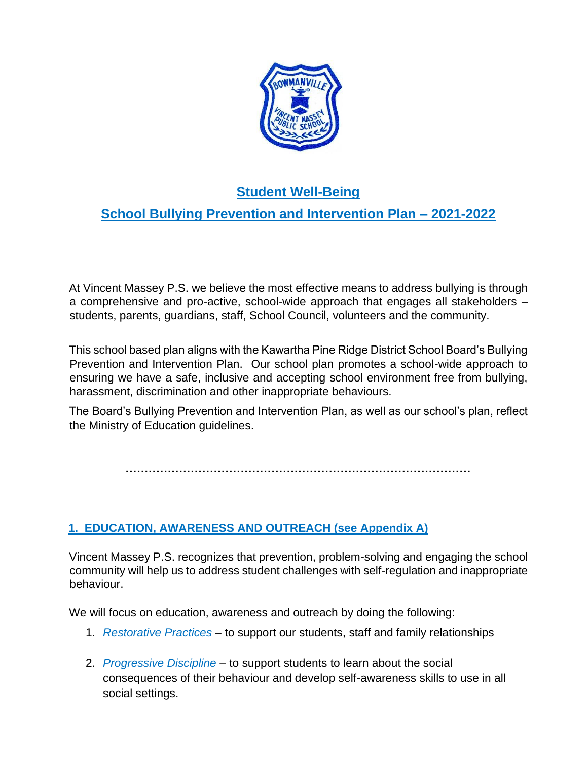

# **Student Well-Being**

# **School Bullying Prevention and Intervention Plan – 2021-2022**

At Vincent Massey P.S. we believe the most effective means to address bullying is through a comprehensive and pro-active, school-wide approach that engages all stakeholders – students, parents, guardians, staff, School Council, volunteers and the community.

This school based plan aligns with the Kawartha Pine Ridge District School Board's Bullying Prevention and Intervention Plan. Our school plan promotes a school-wide approach to ensuring we have a safe, inclusive and accepting school environment free from bullying, harassment, discrimination and other inappropriate behaviours.

The Board's Bullying Prevention and Intervention Plan, as well as our school's plan, reflect the Ministry of Education guidelines.

**………………………………………………………………………………** 

# **1. EDUCATION, AWARENESS AND OUTREACH (see Appendix A)**

Vincent Massey P.S. recognizes that prevention, problem-solving and engaging the school community will help us to address student challenges with self-regulation and inappropriate behaviour.

We will focus on education, awareness and outreach by doing the following:

- 1. *Restorative Practices* to support our students, staff and family relationships
- 2. *Progressive Discipline* to support students to learn about the social consequences of their behaviour and develop self-awareness skills to use in all social settings.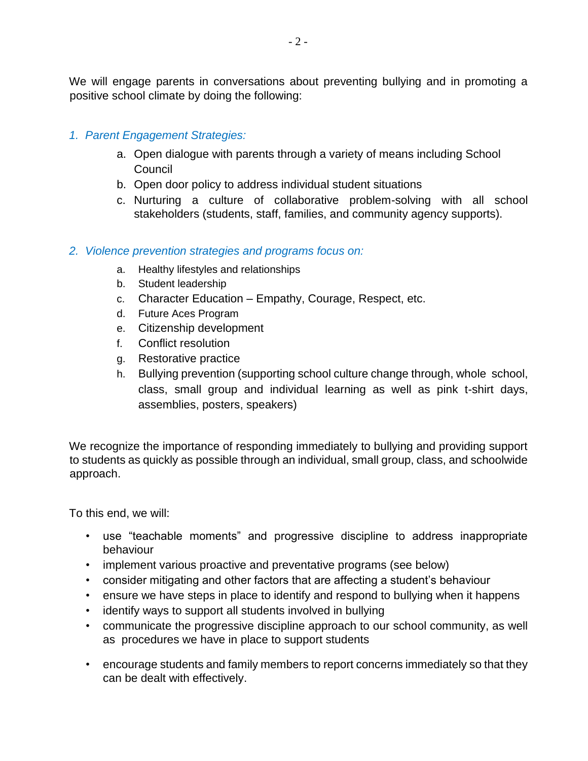We will engage parents in conversations about preventing bullying and in promoting a positive school climate by doing the following:

#### *1. Parent Engagement Strategies:*

- a. Open dialogue with parents through a variety of means including School **Council**
- b. Open door policy to address individual student situations
- c. Nurturing a culture of collaborative problem-solving with all school stakeholders (students, staff, families, and community agency supports).

#### *2. Violence prevention strategies and programs focus on:*

- a. Healthy lifestyles and relationships
- b. Student leadership
- c. Character Education Empathy, Courage, Respect, etc.
- d. Future Aces Program
- e. Citizenship development
- f. Conflict resolution
- g. Restorative practice
- h. Bullying prevention (supporting school culture change through, whole school, class, small group and individual learning as well as pink t-shirt days, assemblies, posters, speakers)

We recognize the importance of responding immediately to bullying and providing support to students as quickly as possible through an individual, small group, class, and schoolwide approach.

To this end, we will:

- use "teachable moments" and progressive discipline to address inappropriate behaviour
- implement various proactive and preventative programs (see below)
- consider mitigating and other factors that are affecting a student's behaviour
- ensure we have steps in place to identify and respond to bullying when it happens
- identify ways to support all students involved in bullying
- communicate the progressive discipline approach to our school community, as well as procedures we have in place to support students
- encourage students and family members to report concerns immediately so that they can be dealt with effectively.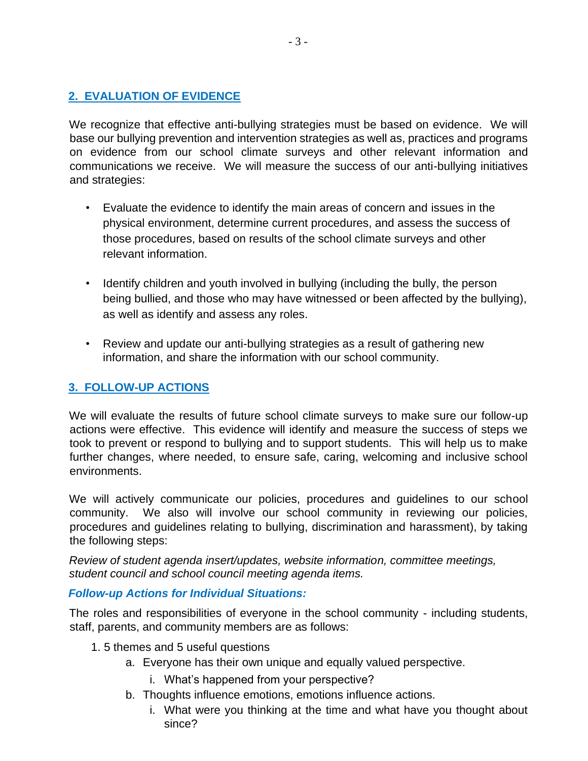#### **2. EVALUATION OF EVIDENCE**

We recognize that effective anti-bullying strategies must be based on evidence. We will base our bullying prevention and intervention strategies as well as, practices and programs on evidence from our school climate surveys and other relevant information and communications we receive. We will measure the success of our anti-bullying initiatives and strategies:

- Evaluate the evidence to identify the main areas of concern and issues in the physical environment, determine current procedures, and assess the success of those procedures, based on results of the school climate surveys and other relevant information.
- Identify children and youth involved in bullying (including the bully, the person being bullied, and those who may have witnessed or been affected by the bullying), as well as identify and assess any roles.
- Review and update our anti-bullying strategies as a result of gathering new information, and share the information with our school community.

## **3. FOLLOW-UP ACTIONS**

We will evaluate the results of future school climate surveys to make sure our follow-up actions were effective. This evidence will identify and measure the success of steps we took to prevent or respond to bullying and to support students. This will help us to make further changes, where needed, to ensure safe, caring, welcoming and inclusive school environments.

We will actively communicate our policies, procedures and guidelines to our school community. We also will involve our school community in reviewing our policies, procedures and guidelines relating to bullying, discrimination and harassment), by taking the following steps:

*Review of student agenda insert/updates, website information, committee meetings, student council and school council meeting agenda items.* 

#### *Follow-up Actions for Individual Situations:*

The roles and responsibilities of everyone in the school community - including students, staff, parents, and community members are as follows:

- 1. 5 themes and 5 useful questions
	- a. Everyone has their own unique and equally valued perspective.
		- i. What's happened from your perspective?
	- b. Thoughts influence emotions, emotions influence actions.
		- i. What were you thinking at the time and what have you thought about since?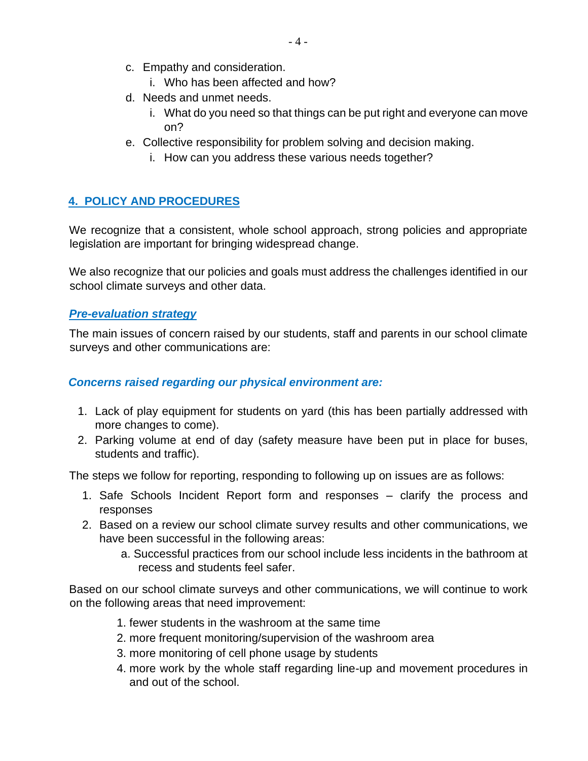- c. Empathy and consideration.
	- i. Who has been affected and how?
- d. Needs and unmet needs.
	- i. What do you need so that things can be put right and everyone can move on?
- e. Collective responsibility for problem solving and decision making.
	- i. How can you address these various needs together?

## **4. POLICY AND PROCEDURES**

We recognize that a consistent, whole school approach, strong policies and appropriate legislation are important for bringing widespread change.

We also recognize that our policies and goals must address the challenges identified in our school climate surveys and other data.

#### *Pre-evaluation strategy*

The main issues of concern raised by our students, staff and parents in our school climate surveys and other communications are:

#### *Concerns raised regarding our physical environment are:*

- 1. Lack of play equipment for students on yard (this has been partially addressed with more changes to come).
- 2. Parking volume at end of day (safety measure have been put in place for buses, students and traffic).

The steps we follow for reporting, responding to following up on issues are as follows:

- 1. Safe Schools Incident Report form and responses clarify the process and responses
- 2. Based on a review our school climate survey results and other communications, we have been successful in the following areas:
	- a. Successful practices from our school include less incidents in the bathroom at recess and students feel safer.

Based on our school climate surveys and other communications, we will continue to work on the following areas that need improvement:

- 1. fewer students in the washroom at the same time
- 2. more frequent monitoring/supervision of the washroom area
- 3. more monitoring of cell phone usage by students
- 4. more work by the whole staff regarding line-up and movement procedures in and out of the school.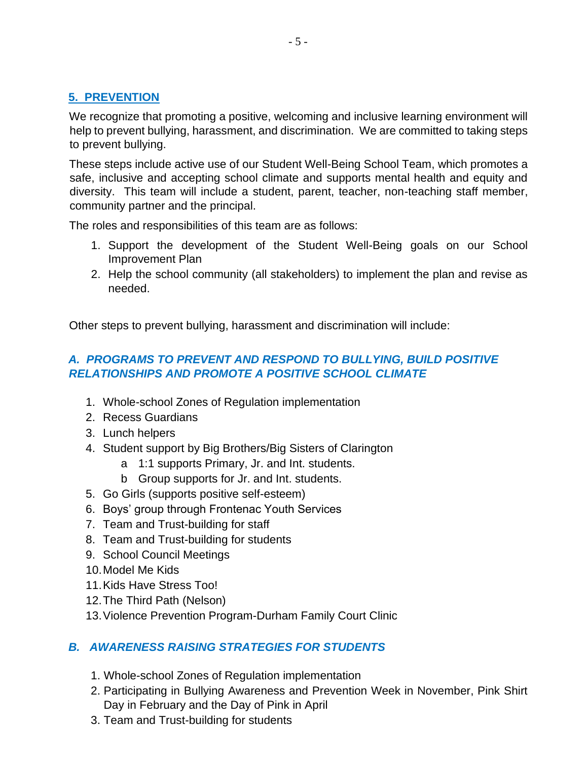# **5. PREVENTION**

We recognize that promoting a positive, welcoming and inclusive learning environment will help to prevent bullying, harassment, and discrimination. We are committed to taking steps to prevent bullying.

These steps include active use of our Student Well-Being School Team, which promotes a safe, inclusive and accepting school climate and supports mental health and equity and diversity. This team will include a student, parent, teacher, non-teaching staff member, community partner and the principal.

The roles and responsibilities of this team are as follows:

- 1. Support the development of the Student Well-Being goals on our School Improvement Plan
- 2. Help the school community (all stakeholders) to implement the plan and revise as needed.

Other steps to prevent bullying, harassment and discrimination will include:

# *A. PROGRAMS TO PREVENT AND RESPOND TO BULLYING, BUILD POSITIVE RELATIONSHIPS AND PROMOTE A POSITIVE SCHOOL CLIMATE*

- 1. Whole-school Zones of Regulation implementation
- 2. Recess Guardians
- 3. Lunch helpers
- 4. Student support by Big Brothers/Big Sisters of Clarington
	- a 1:1 supports Primary, Jr. and Int. students.
	- b Group supports for Jr. and Int. students.
- 5. Go Girls (supports positive self-esteem)
- 6. Boys' group through Frontenac Youth Services
- 7. Team and Trust-building for staff
- 8. Team and Trust-building for students
- 9. School Council Meetings
- 10.Model Me Kids
- 11.Kids Have Stress Too!
- 12.The Third Path (Nelson)
- 13.Violence Prevention Program-Durham Family Court Clinic

## *B. AWARENESS RAISING STRATEGIES FOR STUDENTS*

- 1. Whole-school Zones of Regulation implementation
- 2. Participating in Bullying Awareness and Prevention Week in November, Pink Shirt Day in February and the Day of Pink in April
- 3. Team and Trust-building for students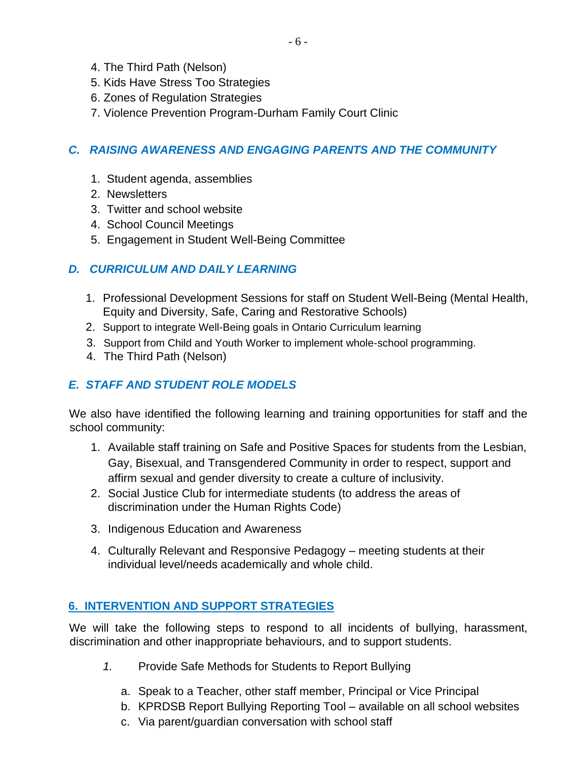- 4. The Third Path (Nelson)
- 5. Kids Have Stress Too Strategies
- 6. Zones of Regulation Strategies
- 7. Violence Prevention Program-Durham Family Court Clinic

## *C. RAISING AWARENESS AND ENGAGING PARENTS AND THE COMMUNITY*

- 1. Student agenda, assemblies
- 2. Newsletters
- 3. Twitter and school website
- 4. School Council Meetings
- 5. Engagement in Student Well-Being Committee

#### *D. CURRICULUM AND DAILY LEARNING*

- 1. Professional Development Sessions for staff on Student Well-Being (Mental Health, Equity and Diversity, Safe, Caring and Restorative Schools)
- 2. Support to integrate Well-Being goals in Ontario Curriculum learning
- 3. Support from Child and Youth Worker to implement whole-school programming.
- 4. The Third Path (Nelson)

# *E. STAFF AND STUDENT ROLE MODELS*

We also have identified the following learning and training opportunities for staff and the school community:

- 1. Available staff training on Safe and Positive Spaces for students from the Lesbian, Gay, Bisexual, and Transgendered Community in order to respect, support and affirm sexual and gender diversity to create a culture of inclusivity.
- 2. Social Justice Club for intermediate students (to address the areas of discrimination under the Human Rights Code)
- 3. Indigenous Education and Awareness
- 4. Culturally Relevant and Responsive Pedagogy meeting students at their individual level/needs academically and whole child.

## **6. INTERVENTION AND SUPPORT STRATEGIES**

We will take the following steps to respond to all incidents of bullying, harassment, discrimination and other inappropriate behaviours, and to support students.

- *1.* Provide Safe Methods for Students to Report Bullying
	- a. Speak to a Teacher, other staff member, Principal or Vice Principal
	- b. KPRDSB Report Bullying Reporting Tool available on all school websites
	- c. Via parent/guardian conversation with school staff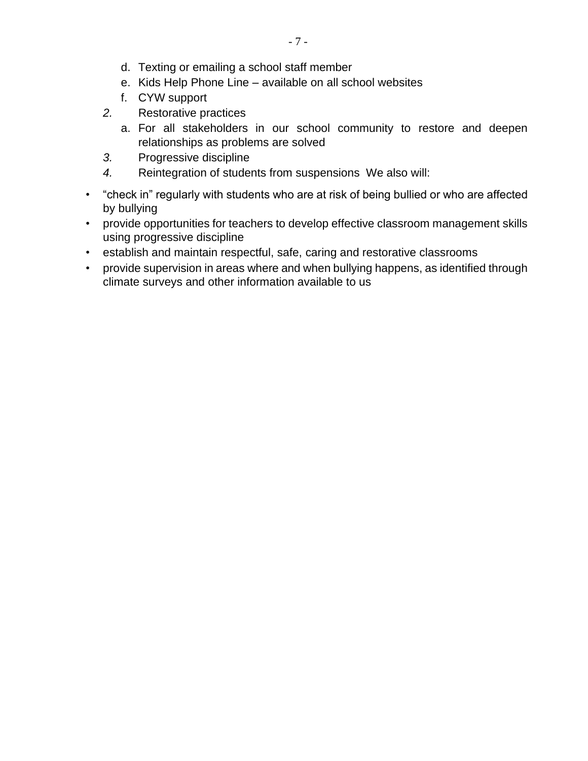- d. Texting or emailing a school staff member
- e. Kids Help Phone Line available on all school websites
- f. CYW support
- *2.* Restorative practices
	- a. For all stakeholders in our school community to restore and deepen relationships as problems are solved
- *3.* Progressive discipline
- *4.* Reintegration of students from suspensions We also will:
- "check in" regularly with students who are at risk of being bullied or who are affected by bullying
- provide opportunities for teachers to develop effective classroom management skills using progressive discipline
- establish and maintain respectful, safe, caring and restorative classrooms
- provide supervision in areas where and when bullying happens, as identified through climate surveys and other information available to us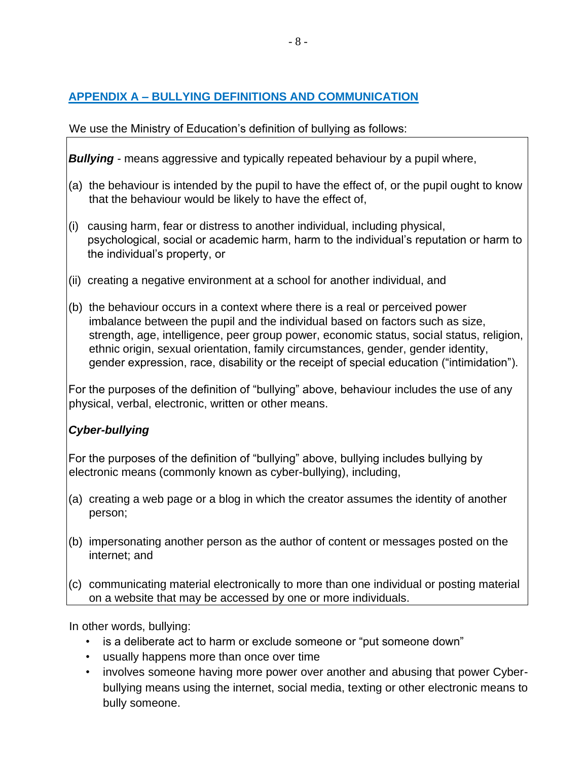# **APPENDIX A – BULLYING DEFINITIONS AND COMMUNICATION**

# We use the Ministry of Education's definition of bullying as follows:

*Bullying -* means aggressive and typically repeated behaviour by a pupil where,

- (a) the behaviour is intended by the pupil to have the effect of, or the pupil ought to know that the behaviour would be likely to have the effect of,
- (i) causing harm, fear or distress to another individual, including physical, psychological, social or academic harm, harm to the individual's reputation or harm to the individual's property, or
- (ii) creating a negative environment at a school for another individual, and
- (b) the behaviour occurs in a context where there is a real or perceived power imbalance between the pupil and the individual based on factors such as size, strength, age, intelligence, peer group power, economic status, social status, religion, ethnic origin, sexual orientation, family circumstances, gender, gender identity, gender expression, race, disability or the receipt of special education ("intimidation").

For the purposes of the definition of "bullying" above, behaviour includes the use of any physical, verbal, electronic, written or other means.

# *Cyber-bullying*

For the purposes of the definition of "bullying" above, bullying includes bullying by electronic means (commonly known as cyber-bullying), including,

- (a) creating a web page or a blog in which the creator assumes the identity of another person;
- (b) impersonating another person as the author of content or messages posted on the internet; and
- (c) communicating material electronically to more than one individual or posting material on a website that may be accessed by one or more individuals.

In other words, bullying:

- is a deliberate act to harm or exclude someone or "put someone down"
- usually happens more than once over time
- involves someone having more power over another and abusing that power Cyberbullying means using the internet, social media, texting or other electronic means to bully someone.